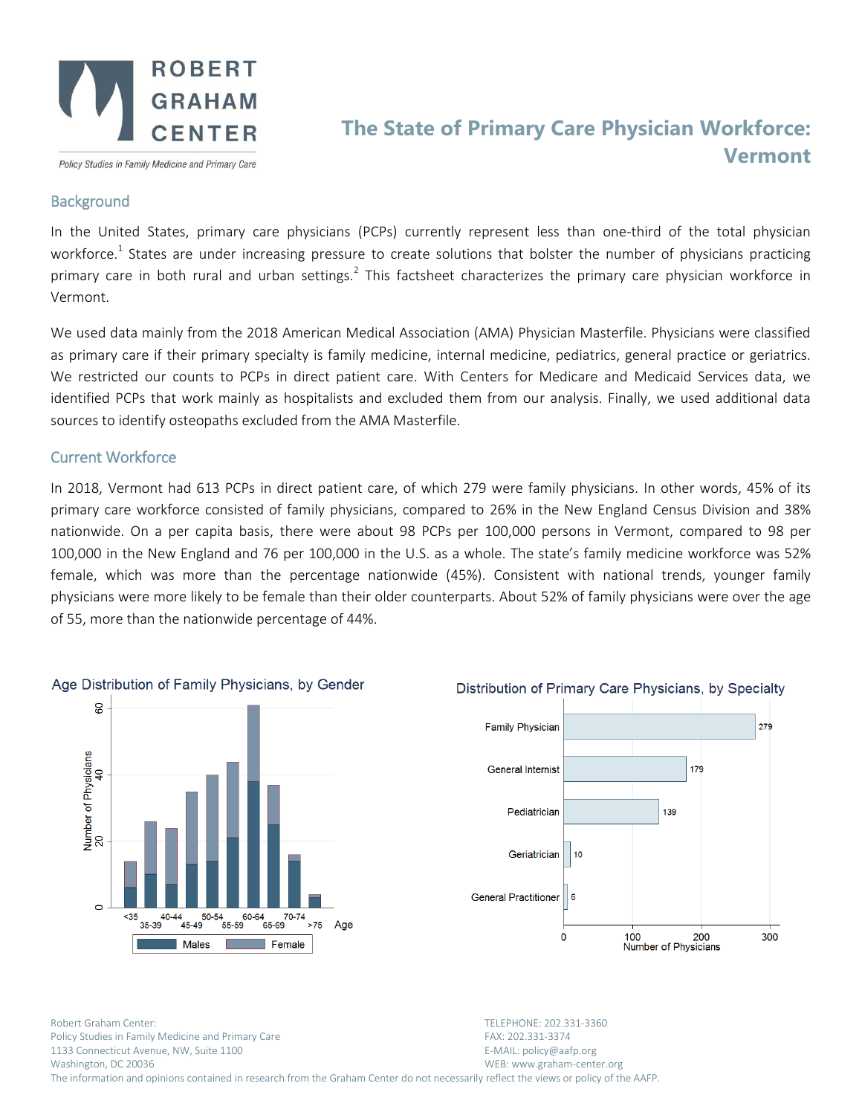

Policy Studies in Family Medicine and Primary Care

# **The State of Primary Care Physician Workforce: Vermont**

### **Background**

In the United States, primary care physicians (PCPs) currently represent less than one-third of the total physician workforce.<sup>1</sup> States are under increasing pressure to create solutions that bolster the number of physicians practicing primary care in both rural and urban settings.<sup>2</sup> This factsheet characterizes the primary care physician workforce in Vermont.

We used data mainly from the 2018 American Medical Association (AMA) Physician Masterfile. Physicians were classified as primary care if their primary specialty is family medicine, internal medicine, pediatrics, general practice or geriatrics. We restricted our counts to PCPs in direct patient care. With Centers for Medicare and Medicaid Services data, we identified PCPs that work mainly as hospitalists and excluded them from our analysis. Finally, we used additional data sources to identify osteopaths excluded from the AMA Masterfile.

## Current Workforce

In 2018, Vermont had 613 PCPs in direct patient care, of which 279 were family physicians. In other words, 45% of its primary care workforce consisted of family physicians, compared to 26% in the New England Census Division and 38% nationwide. On a per capita basis, there were about 98 PCPs per 100,000 persons in Vermont, compared to 98 per 100,000 in the New England and 76 per 100,000 in the U.S. as a whole. The state's family medicine workforce was 52% female, which was more than the percentage nationwide (45%). Consistent with national trends, younger family physicians were more likely to be female than their older counterparts. About 52% of family physicians were over the age of 55, more than the nationwide percentage of 44%.



# Distribution of Primary Care Physicians, by Specialty